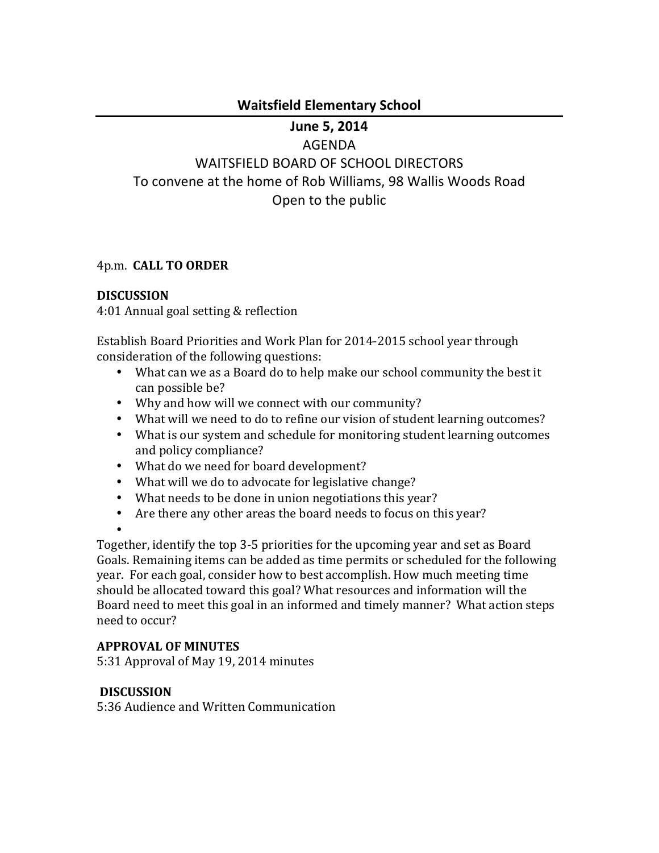### **Waitsfield!Elementary!School**

# **June 5, 2014**

### AGENDA

WAITSFIELD BOARD OF SCHOOL DIRECTORS To convene at the home of Rob Williams, 98 Wallis Woods Road Open to the public

### 4p.m.!!**CALL\$TO\$ORDER**

### **DISCUSSION**

4:01 Annual goal setting & reflection

Establish Board Priorities and Work Plan for 2014-2015 school year through consideration of the following questions:

- What can we as a Board do to help make our school community the best it can possible be?
- Why and how will we connect with our community?
- What will we need to do to refine our vision of student learning outcomes?
- What is our system and schedule for monitoring student learning outcomes and policy compliance?
- What do we need for board development?
- What will we do to advocate for legislative change?
- What needs to be done in union negotiations this year?
- Are there any other areas the board needs to focus on this year?
- •

Together, identify the top 3-5 priorities for the upcoming year and set as Board Goals. Remaining items can be added as time permits or scheduled for the following year. For each goal, consider how to best accomplish. How much meeting time should be allocated toward this goal? What resources and information will the Board need to meet this goal in an informed and timely manner? What action steps need to occur?

### **APPROVAL OF MINUTES**

5:31 Approval of May 19, 2014 minutes

### **DISCUSSION**

5:36 Audience and Written Communication